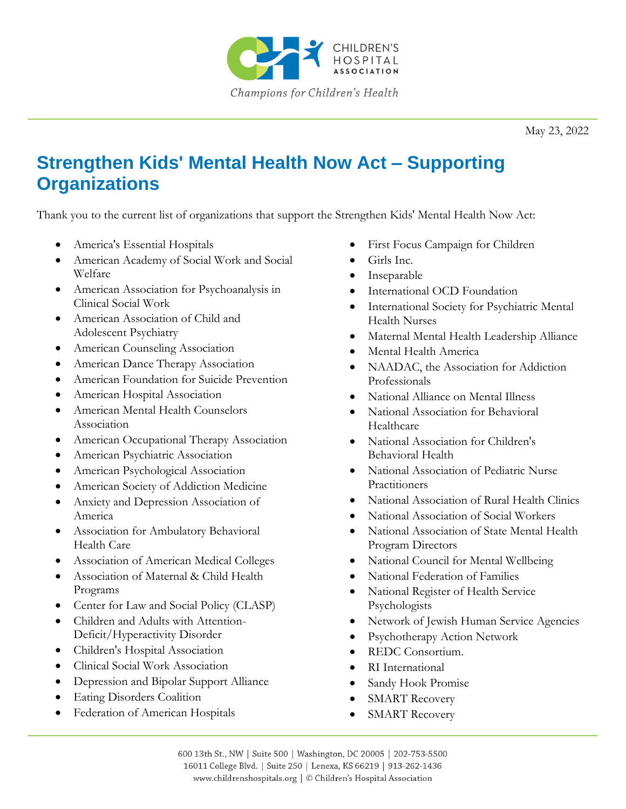

May 23, 2022

## **Strengthen Kids' Mental Health Now Act – Supporting Organizations**

Thank you to the current list of organizations that support the Strengthen Kids' Mental Health Now Act:

- America's Essential Hospitals
- American Academy of Social Work and Social Welfare
- American Association for Psychoanalysis in Clinical Social Work
- American Association of Child and Adolescent Psychiatry
- American Counseling Association
- American Dance Therapy Association
- American Foundation for Suicide Prevention
- American Hospital Association
- American Mental Health Counselors Association
- American Occupational Therapy Association
- American Psychiatric Association
- American Psychological Association
- American Society of Addiction Medicine
- Anxiety and Depression Association of America
- Association for Ambulatory Behavioral Health Care
- Association of American Medical Colleges
- Association of Maternal & Child Health Programs
- Center for Law and Social Policy (CLASP)
- Children and Adults with Attention-Deficit/Hyperactivity Disorder
- Children's Hospital Association
- Clinical Social Work Association
- Depression and Bipolar Support Alliance
- Eating Disorders Coalition
- Federation of American Hospitals
- First Focus Campaign for Children
- Girls Inc.
- **Inseparable**
- International OCD Foundation
- International Society for Psychiatric Mental Health Nurses
- Maternal Mental Health Leadership Alliance
- Mental Health America
- NAADAC, the Association for Addiction Professionals
- National Alliance on Mental Illness
- National Association for Behavioral Healthcare
- National Association for Children's Behavioral Health
- National Association of Pediatric Nurse **Practitioners**
- National Association of Rural Health Clinics
- National Association of Social Workers
- National Association of State Mental Health Program Directors
- National Council for Mental Wellbeing
- National Federation of Families
- National Register of Health Service Psychologists
- Network of Jewish Human Service Agencies
- Psychotherapy Action Network
- REDC Consortium.
- RI International
- Sandy Hook Promise
- SMART Recovery
- SMART Recovery